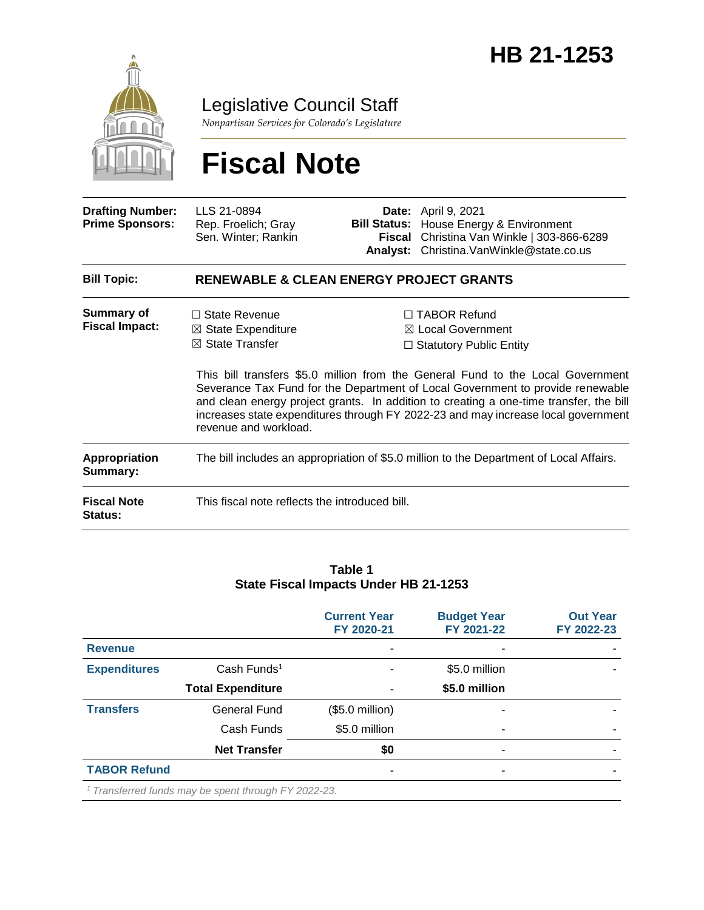

### Legislative Council Staff

*Nonpartisan Services for Colorado's Legislature*

# **Fiscal Note**

| <b>Drafting Number:</b><br><b>Prime Sponsors:</b>                        | LLS 21-0894<br>Rep. Froelich; Gray<br>Sen. Winter; Rankin                                                                                 |  | <b>Date:</b> April 9, 2021<br><b>Bill Status:</b> House Energy & Environment<br>Fiscal Christina Van Winkle   303-866-6289<br>Analyst: Christina. VanWinkle@state.co.us                                                                                                                                                                                                                                                                   |  |  |
|--------------------------------------------------------------------------|-------------------------------------------------------------------------------------------------------------------------------------------|--|-------------------------------------------------------------------------------------------------------------------------------------------------------------------------------------------------------------------------------------------------------------------------------------------------------------------------------------------------------------------------------------------------------------------------------------------|--|--|
| <b>Bill Topic:</b>                                                       | <b>RENEWABLE &amp; CLEAN ENERGY PROJECT GRANTS</b>                                                                                        |  |                                                                                                                                                                                                                                                                                                                                                                                                                                           |  |  |
| <b>Summary of</b><br><b>Fiscal Impact:</b>                               | $\Box$ State Revenue<br>$\boxtimes$ State Expenditure<br>$\boxtimes$ State Transfer<br>revenue and workload.                              |  | $\Box$ TABOR Refund<br>$\boxtimes$ Local Government<br>$\Box$ Statutory Public Entity<br>This bill transfers \$5.0 million from the General Fund to the Local Government<br>Severance Tax Fund for the Department of Local Government to provide renewable<br>and clean energy project grants. In addition to creating a one-time transfer, the bill<br>increases state expenditures through FY 2022-23 and may increase local government |  |  |
| <b>Appropriation</b><br>Summary:<br><b>Fiscal Note</b><br><b>Status:</b> | The bill includes an appropriation of \$5.0 million to the Department of Local Affairs.<br>This fiscal note reflects the introduced bill. |  |                                                                                                                                                                                                                                                                                                                                                                                                                                           |  |  |

#### **Table 1 State Fiscal Impacts Under HB 21-1253**

|                     |                                                                 | <b>Current Year</b><br>FY 2020-21 | <b>Budget Year</b><br>FY 2021-22 | <b>Out Year</b><br>FY 2022-23 |
|---------------------|-----------------------------------------------------------------|-----------------------------------|----------------------------------|-------------------------------|
| <b>Revenue</b>      |                                                                 |                                   |                                  |                               |
| <b>Expenditures</b> | Cash Funds <sup>1</sup>                                         |                                   | \$5.0 million                    |                               |
|                     | <b>Total Expenditure</b>                                        |                                   | \$5.0 million                    |                               |
| <b>Transfers</b>    | <b>General Fund</b>                                             | $($5.0$ million)                  |                                  |                               |
|                     | Cash Funds                                                      | \$5.0 million                     | ٠                                |                               |
|                     | <b>Net Transfer</b>                                             | \$0                               | ۰                                |                               |
| <b>TABOR Refund</b> |                                                                 | -                                 | ۰                                |                               |
|                     | <sup>1</sup> Transferred funds may be spent through FY 2022-23. |                                   |                                  |                               |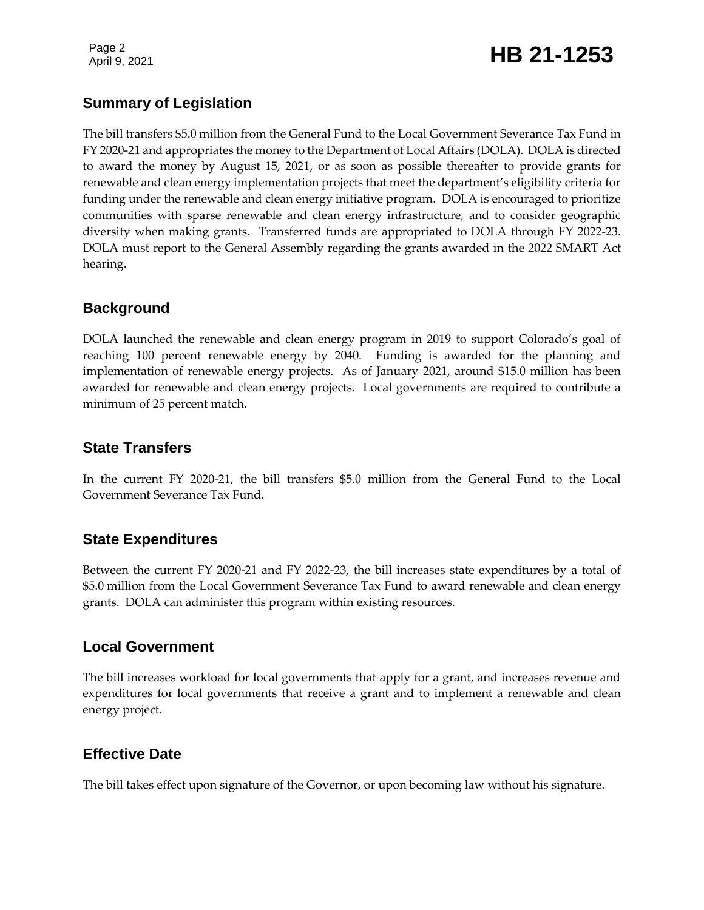Page 2

## Page 2<br>April 9, 2021 **HB 21-1253**

#### **Summary of Legislation**

The bill transfers \$5.0 million from the General Fund to the Local Government Severance Tax Fund in FY 2020-21 and appropriates the money to the Department of Local Affairs (DOLA). DOLA is directed to award the money by August 15, 2021, or as soon as possible thereafter to provide grants for renewable and clean energy implementation projects that meet the department's eligibility criteria for funding under the renewable and clean energy initiative program. DOLA is encouraged to prioritize communities with sparse renewable and clean energy infrastructure, and to consider geographic diversity when making grants. Transferred funds are appropriated to DOLA through FY 2022-23. DOLA must report to the General Assembly regarding the grants awarded in the 2022 SMART Act hearing.

#### **Background**

DOLA launched the renewable and clean energy program in 2019 to support Colorado's goal of reaching 100 percent renewable energy by 2040. Funding is awarded for the planning and implementation of renewable energy projects. As of January 2021, around \$15.0 million has been awarded for renewable and clean energy projects. Local governments are required to contribute a minimum of 25 percent match.

#### **State Transfers**

In the current FY 2020-21, the bill transfers \$5.0 million from the General Fund to the Local Government Severance Tax Fund.

#### **State Expenditures**

Between the current FY 2020-21 and FY 2022-23, the bill increases state expenditures by a total of \$5.0 million from the Local Government Severance Tax Fund to award renewable and clean energy grants. DOLA can administer this program within existing resources.

#### **Local Government**

The bill increases workload for local governments that apply for a grant, and increases revenue and expenditures for local governments that receive a grant and to implement a renewable and clean energy project.

#### **Effective Date**

The bill takes effect upon signature of the Governor, or upon becoming law without his signature.